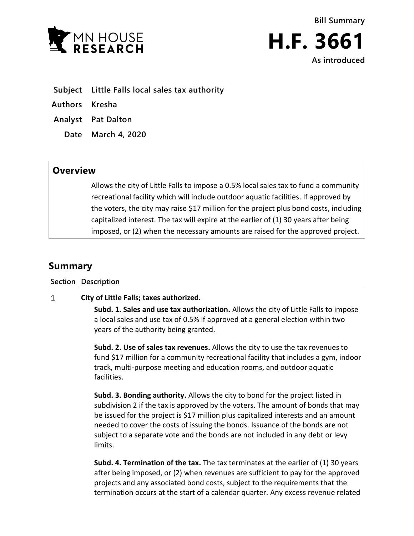



- **Subject Little Falls local sales tax authority**
- **Authors Kresha**
- **Analyst Pat Dalton**
	- **Date March 4, 2020**

# **Overview**

Allows the city of Little Falls to impose a 0.5% local sales tax to fund a community recreational facility which will include outdoor aquatic facilities. If approved by the voters, the city may raise \$17 million for the project plus bond costs, including capitalized interest. The tax will expire at the earlier of (1) 30 years after being imposed, or (2) when the necessary amounts are raised for the approved project.

# **Summary**

### **Section Description**

#### $\mathbf{1}$ **City of Little Falls; taxes authorized.**

**Subd. 1. Sales and use tax authorization.** Allows the city of Little Falls to impose a local sales and use tax of 0.5% if approved at a general election within two years of the authority being granted.

**Subd. 2. Use of sales tax revenues.** Allows the city to use the tax revenues to fund \$17 million for a community recreational facility that includes a gym, indoor track, multi-purpose meeting and education rooms, and outdoor aquatic facilities.

**Subd. 3. Bonding authority.** Allows the city to bond for the project listed in subdivision 2 if the tax is approved by the voters. The amount of bonds that may be issued for the project is \$17 million plus capitalized interests and an amount needed to cover the costs of issuing the bonds. Issuance of the bonds are not subject to a separate vote and the bonds are not included in any debt or levy limits.

**Subd. 4. Termination of the tax.** The tax terminates at the earlier of (1) 30 years after being imposed, or (2) when revenues are sufficient to pay for the approved projects and any associated bond costs, subject to the requirements that the termination occurs at the start of a calendar quarter. Any excess revenue related